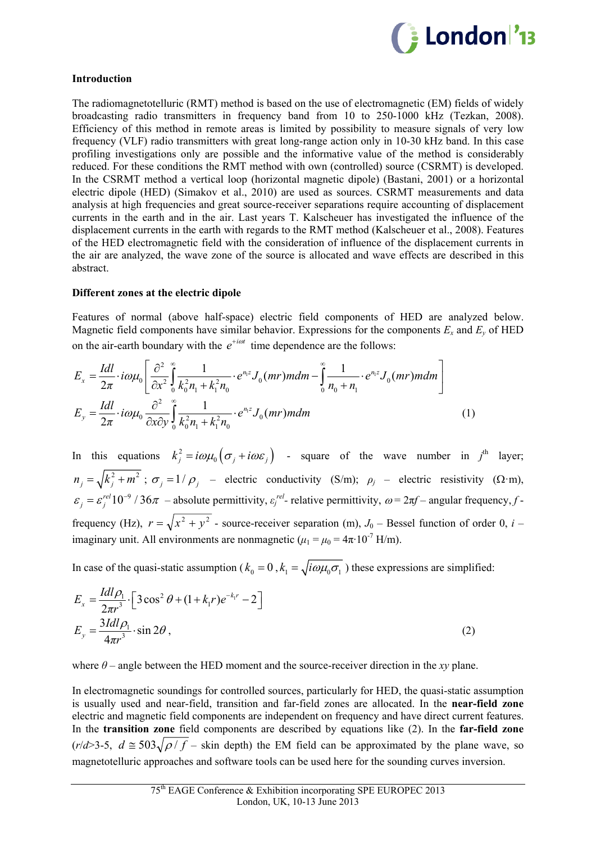

# **Introduction**

The radiomagnetotelluric (RMT) method is based on the use of electromagnetic (EM) fields of widely broadcasting radio transmitters in frequency band from 10 to 250-1000 kHz (Tezkan, 2008). Efficiency of this method in remote areas is limited by possibility to measure signals of very low frequency (VLF) radio transmitters with great long-range action only in 10-30 kHz band. In this case profiling investigations only are possible and the informative value of the method is considerably reduced. For these conditions the RMT method with own (controlled) source (CSRMT) is developed. In the CSRMT method a vertical loop (horizontal magnetic dipole) (Bastani, 2001) or a horizontal electric dipole (HED) (Simakov et al., 2010) are used as sources. CSRMT measurements and data analysis at high frequencies and great source-receiver separations require accounting of displacement currents in the earth and in the air. Last years T. Kalscheuer has investigated the influence of the displacement currents in the earth with regards to the RMT method (Kalscheuer et al., 2008). Features of the HED electromagnetic field with the consideration of influence of the displacement currents in the air are analyzed, the wave zone of the source is allocated and wave effects are described in this abstract.

## **Different zones at the electric dipole**

Features of normal (above half-space) electric field components of HED are analyzed below. Magnetic field components have similar behavior. Expressions for the components  $E_x$  and  $E_y$  of HED on the air-earth boundary with the  $e^{+i\omega t}$  time dependence are the follows:

$$
E_x = \frac{Idl}{2\pi} \cdot i\omega\mu_0 \left[ \frac{\partial^2}{\partial x^2} \int_0^\infty \frac{1}{k_0^2 n_1 + k_1^2 n_0} \cdot e^{n_1 z} J_0(mr) m dm - \int_0^\infty \frac{1}{n_0 + n_1} \cdot e^{n_1 z} J_0(mr) m dm \right]
$$
  
\n
$$
E_y = \frac{Idl}{2\pi} \cdot i\omega\mu_0 \frac{\partial^2}{\partial x \partial y} \int_0^\infty \frac{1}{k_0^2 n_1 + k_1^2 n_0} \cdot e^{n_1 z} J_0(mr) m dm \qquad (1)
$$

In this equations  $k_j^2 = i\omega\mu_0 \left(\sigma_j + i\omega\varepsilon_j\right)$  - square of the wave number in  $j^{\text{th}}$  layer;  $n_j = \sqrt{k_j^2 + m^2}$ ;  $\sigma_j = 1/\rho_j$  – electric conductivity (S/m);  $\rho_j$  – electric resistivity ( $\Omega$ ·m),  $\varepsilon_j = \varepsilon_j^{\text{rel}} 10^{-9}$  / 36 $\pi$  – absolute permittivity,  $\varepsilon_j^{\text{rel}}$ - relative permittivity,  $\omega = 2\pi f$ – angular frequency, ffrequency (Hz),  $r = \sqrt{x^2 + y^2}$  - source-receiver separation (m),  $J_0$  – Bessel function of order 0, *i* – imaginary unit. All environments are nonmagnetic ( $\mu_1 = \mu_0 = 4\pi \cdot 10^{-7}$  H/m).

In case of the quasi-static assumption ( $k_0 = 0$ ,  $k_1 = \sqrt{i\omega\mu_0\sigma_1}$ ) these expressions are simplified:

$$
E_x = \frac{Idl\rho_1}{2\pi r^3} \cdot \left[3\cos^2\theta + (1 + k_1r)e^{-k_1r} - 2\right]
$$
  
\n
$$
E_y = \frac{3Idl\rho_1}{4\pi r^3} \cdot \sin 2\theta,
$$
\n(2)

where  $\theta$  – angle between the HED moment and the source-receiver direction in the *xy* plane.

In electromagnetic soundings for controlled sources, particularly for HED, the quasi-static assumption is usually used and near-field, transition and far-field zones are allocated. In the **near-field zone** electric and magnetic field components are independent on frequency and have direct current features. In the **transition zone** field components are described by equations like (2). In the **far-field zone**  $(r/d > 3.5, d \approx 503 \sqrt{\rho/f}$  – skin depth) the EM field can be approximated by the plane wave, so magnetotelluric approaches and software tools can be used here for the sounding curves inversion.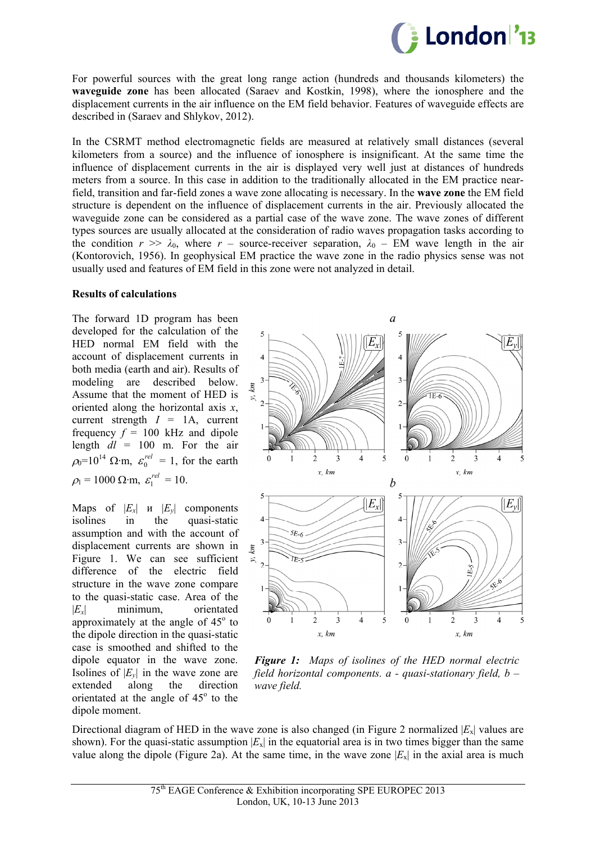

For powerful sources with the great long range action (hundreds and thousands kilometers) the **waveguide zone** has been allocated (Saraev and Kostkin, 1998), where the ionosphere and the displacement currents in the air influence on the EM field behavior. Features of waveguide effects are described in (Saraev and Shlykov, 2012).

In the CSRMT method electromagnetic fields are measured at relatively small distances (several kilometers from a source) and the influence of ionosphere is insignificant. At the same time the influence of displacement currents in the air is displayed very well just at distances of hundreds meters from a source. In this case in addition to the traditionally allocated in the EM practice nearfield, transition and far-field zones a wave zone allocating is necessary. In the **wave zone** the EM field structure is dependent on the influence of displacement currents in the air. Previously allocated the waveguide zone can be considered as a partial case of the wave zone. The wave zones of different types sources are usually allocated at the consideration of radio waves propagation tasks according to the condition  $r \gg \lambda_0$ , where  $r$  – source-receiver separation,  $\lambda_0$  – EM wave length in the air (Kontorovich, 1956). In geophysical EM practice the wave zone in the radio physics sense was not usually used and features of EM field in this zone were not analyzed in detail.

## **Results of calculations**

The forward 1D program has been developed for the calculation of the HED normal EM field with the account of displacement currents in both media (earth and air). Results of modeling are described below. Assume that the moment of HED is oriented along the horizontal axis *x*, current strength  $I = 1$ A, current frequency  $f = 100$  kHz and dipole length  $dl = 100$  m. For the air  $\rho_0 = 10^{14} \Omega \cdot m$ ,  $\varepsilon_0^{\text{rel}} = 1$ , for the earth  $\rho_1 = 1000 \Omega \cdot m, \ \varepsilon_1^{rel} = 10.$ 

Maps of  $|E_r|$  *u*  $|E_r|$  components isolines in the quasi-static assumption and with the account of displacement currents are shown in Figure 1. We can see sufficient difference of the electric field structure in the wave zone compare to the quasi-static case. Area of the |*Ex*| minimum, orientated approximately at the angle of  $45^\circ$  to the dipole direction in the quasi-static case is smoothed and shifted to the dipole equator in the wave zone. Isolines of  $|E_v|$  in the wave zone are extended along the direction orientated at the angle of  $45^\circ$  to the dipole moment.



*Figure 1: Maps of isolines of the HED normal electric field horizontal components. a - quasi-stationary field, b – wave field.* 

Directional diagram of HED in the wave zone is also changed (in Figure 2 normalized  $|E_x|$  values are shown). For the quasi-static assumption  $|E_x|$  in the equatorial area is in two times bigger than the same value along the dipole (Figure 2a). At the same time, in the wave zone  $|E_x|$  in the axial area is much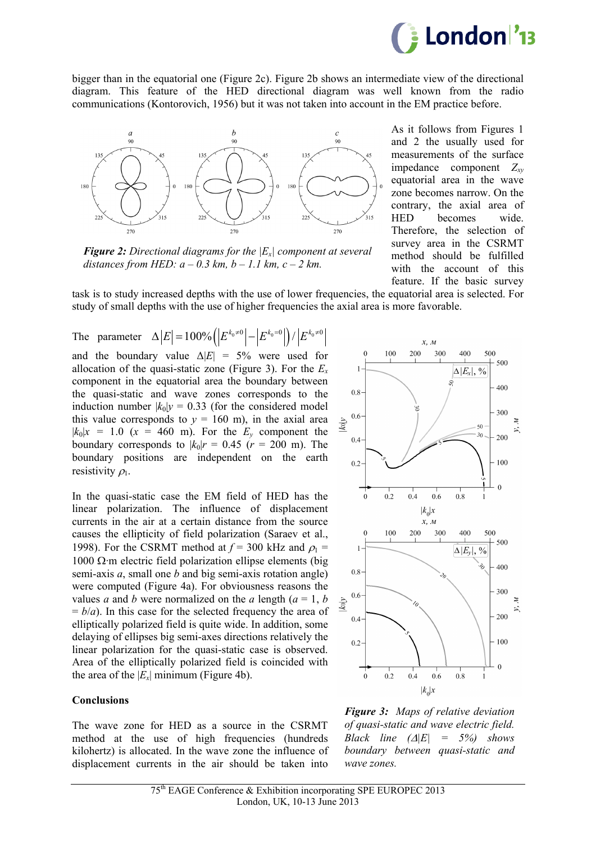

bigger than in the equatorial one (Figure 2c). Figure 2b shows an intermediate view of the directional diagram. This feature of the HED directional diagram was well known from the radio communications (Kontorovich, 1956) but it was not taken into account in the EM practice before.



*Figure 2: Directional diagrams for the |Ex| component at several distances from HED:*  $a - 0.3$  km,  $b - 1.1$  km,  $c - 2$  km.

As it follows from Figures 1 and 2 the usually used for measurements of the surface impedance component  $Z_{xy}$ equatorial area in the wave zone becomes narrow. On the contrary, the axial area of HED becomes wide. Therefore, the selection of survey area in the CSRMT method should be fulfilled with the account of this feature. If the basic survey

task is to study increased depths with the use of lower frequencies, the equatorial area is selected. For study of small depths with the use of higher frequencies the axial area is more favorable.

The parameter  $\Delta |E| = 100\% (|E^{k_0\neq 0}| - |E^{k_0=0}|)/|E^{k_0\neq 0}|$ and the boundary value  $\Delta |E| = 5\%$  were used for allocation of the quasi-static zone (Figure 3). For the  $E<sub>r</sub>$ component in the equatorial area the boundary between the quasi-static and wave zones corresponds to the induction number  $|k_0|$ *y* = 0.33 (for the considered model this value corresponds to  $y = 160$  m), in the axial area  $|k_0|x = 1.0$  ( $x = 460$  m). For the  $E_y$  component the boundary corresponds to  $|k_0|r = 0.45$  ( $r = 200$  m). The boundary positions are independent on the earth resistivity  $\rho_1$ .

In the quasi-static case the EM field of HED has the linear polarization. The influence of displacement currents in the air at a certain distance from the source causes the ellipticity of field polarization (Saraev et al., 1998). For the CSRMT method at  $f = 300$  kHz and  $\rho_1 =$ 1000  $\Omega$ ·m electric field polarization ellipse elements (big semi-axis *a*, small one *b* and big semi-axis rotation angle) were computed (Figure 4a). For obviousness reasons the values *a* and *b* were normalized on the *a* length  $(a = 1, b)$  $= b/a$ ). In this case for the selected frequency the area of elliptically polarized field is quite wide. In addition, some delaying of ellipses big semi-axes directions relatively the linear polarization for the quasi-static case is observed. Area of the elliptically polarized field is coincided with the area of the  $|E_x|$  minimum (Figure 4b).

#### **Conclusions**

The wave zone for HED as a source in the CSRMT method at the use of high frequencies (hundreds kilohertz) is allocated. In the wave zone the influence of displacement currents in the air should be taken into



*Figure 3: Maps of relative deviation of quasi-static and wave electric field. Black line*  $(A|E| = 5\%)$  *shows boundary between quasi-static and wave zones.*